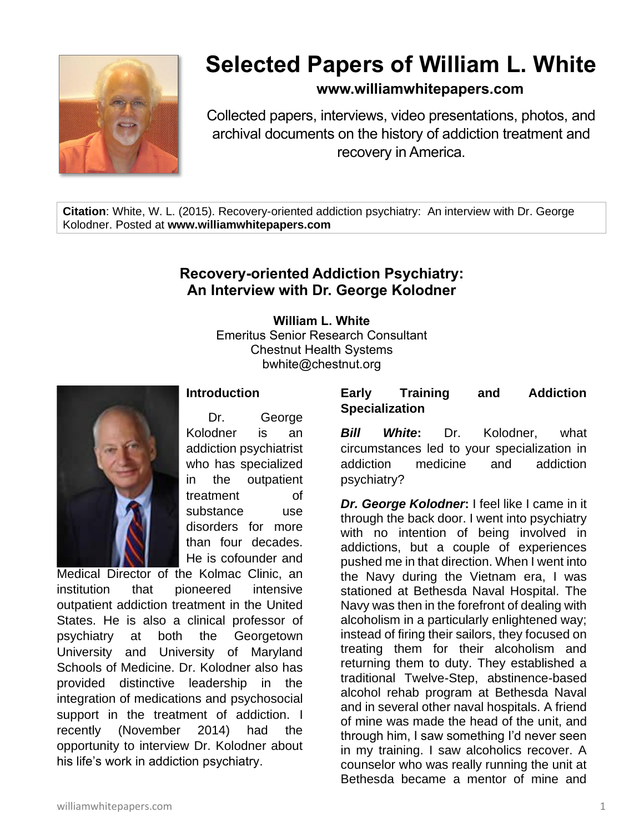

# **Selected Papers of William L. White**

## **www.williamwhitepapers.com**

Collected papers, interviews, video presentations, photos, and archival documents on the history of addiction treatment and recovery in America.

**Citation**: White, W. L. (2015). Recovery-oriented addiction psychiatry: An interview with Dr. George Kolodner. Posted at **www.williamwhitepapers.com**

# **Recovery-oriented Addiction Psychiatry: An Interview with Dr. George Kolodner**

**William L. White** Emeritus Senior Research Consultant Chestnut Health Systems bwhite@chestnut.org



## **Introduction**

Dr. George Kolodner is an addiction psychiatrist who has specialized in the outpatient treatment of substance use disorders for more than four decades. He is cofounder and

Medical Director of the Kolmac Clinic, an institution that pioneered intensive outpatient addiction treatment in the United States. He is also a clinical professor of psychiatry at both the Georgetown University and University of Maryland Schools of Medicine. Dr. Kolodner also has provided distinctive leadership in the integration of medications and psychosocial support in the treatment of addiction. I recently (November 2014) had the opportunity to interview Dr. Kolodner about his life's work in addiction psychiatry.

### **Early Training and Addiction Specialization**

*Bill White***:** Dr. Kolodner, what circumstances led to your specialization in addiction medicine and addiction psychiatry?

*Dr. George Kolodner***:** I feel like I came in it through the back door. I went into psychiatry with no intention of being involved in addictions, but a couple of experiences pushed me in that direction. When I went into the Navy during the Vietnam era, I was stationed at Bethesda Naval Hospital. The Navy was then in the forefront of dealing with alcoholism in a particularly enlightened way; instead of firing their sailors, they focused on treating them for their alcoholism and returning them to duty. They established a traditional Twelve-Step, abstinence-based alcohol rehab program at Bethesda Naval and in several other naval hospitals. A friend of mine was made the head of the unit, and through him, I saw something I'd never seen in my training. I saw alcoholics recover. A counselor who was really running the unit at Bethesda became a mentor of mine and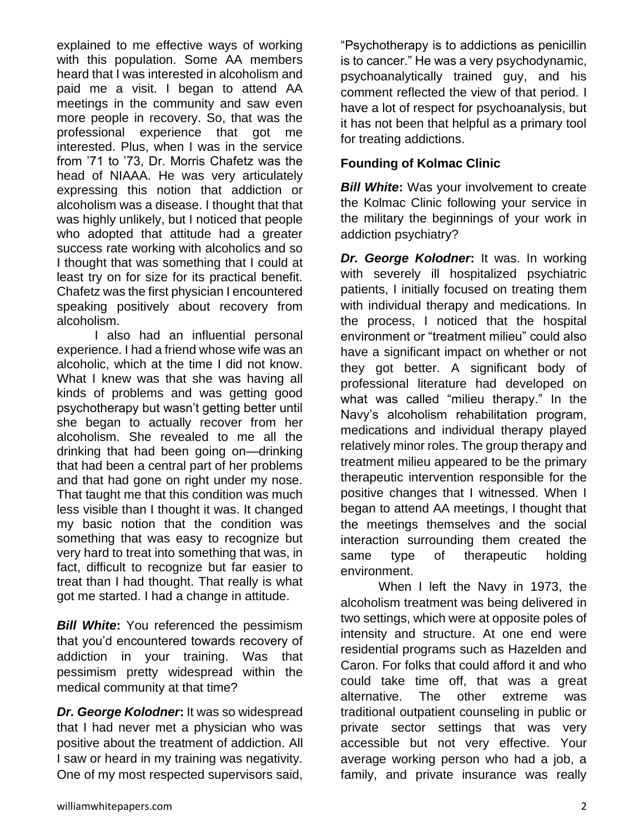explained to me effective ways of working with this population. Some AA members heard that I was interested in alcoholism and paid me a visit. I began to attend AA meetings in the community and saw even more people in recovery. So, that was the professional experience that got me interested. Plus, when I was in the service from '71 to '73, Dr. Morris Chafetz was the head of NIAAA. He was very articulately expressing this notion that addiction or alcoholism was a disease. I thought that that was highly unlikely, but I noticed that people who adopted that attitude had a greater success rate working with alcoholics and so I thought that was something that I could at least try on for size for its practical benefit. Chafetz was the first physician I encountered speaking positively about recovery from alcoholism.

I also had an influential personal experience. I had a friend whose wife was an alcoholic, which at the time I did not know. What I knew was that she was having all kinds of problems and was getting good psychotherapy but wasn't getting better until she began to actually recover from her alcoholism. She revealed to me all the drinking that had been going on—drinking that had been a central part of her problems and that had gone on right under my nose. That taught me that this condition was much less visible than I thought it was. It changed my basic notion that the condition was something that was easy to recognize but very hard to treat into something that was, in fact, difficult to recognize but far easier to treat than I had thought. That really is what got me started. I had a change in attitude.

*Bill White***:** You referenced the pessimism that you'd encountered towards recovery of addiction in your training. Was that pessimism pretty widespread within the medical community at that time?

*Dr. George Kolodner***:** It was so widespread that I had never met a physician who was positive about the treatment of addiction. All I saw or heard in my training was negativity. One of my most respected supervisors said,

"Psychotherapy is to addictions as penicillin is to cancer." He was a very psychodynamic, psychoanalytically trained guy, and his comment reflected the view of that period. I have a lot of respect for psychoanalysis, but it has not been that helpful as a primary tool for treating addictions.

## **Founding of Kolmac Clinic**

**Bill White:** Was your involvement to create the Kolmac Clinic following your service in the military the beginnings of your work in addiction psychiatry?

*Dr. George Kolodner***:** It was. In working with severely ill hospitalized psychiatric patients, I initially focused on treating them with individual therapy and medications. In the process, I noticed that the hospital environment or "treatment milieu" could also have a significant impact on whether or not they got better. A significant body of professional literature had developed on what was called "milieu therapy." In the Navy's alcoholism rehabilitation program, medications and individual therapy played relatively minor roles. The group therapy and treatment milieu appeared to be the primary therapeutic intervention responsible for the positive changes that I witnessed. When I began to attend AA meetings, I thought that the meetings themselves and the social interaction surrounding them created the same type of therapeutic holding environment.

When I left the Navy in 1973, the alcoholism treatment was being delivered in two settings, which were at opposite poles of intensity and structure. At one end were residential programs such as Hazelden and Caron. For folks that could afford it and who could take time off, that was a great alternative. The other extreme was traditional outpatient counseling in public or private sector settings that was very accessible but not very effective. Your average working person who had a job, a family, and private insurance was really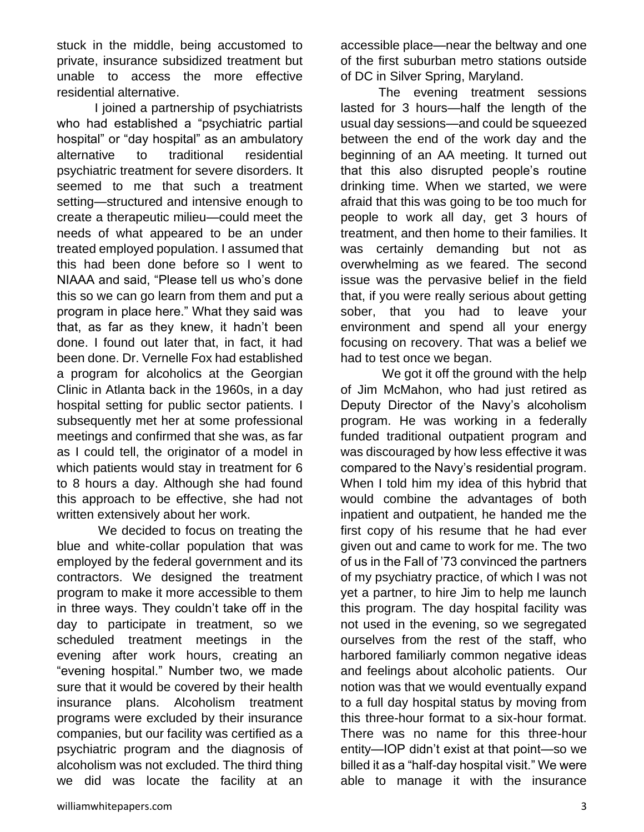stuck in the middle, being accustomed to private, insurance subsidized treatment but unable to access the more effective residential alternative.

I joined a partnership of psychiatrists who had established a "psychiatric partial hospital" or "day hospital" as an ambulatory alternative to traditional residential psychiatric treatment for severe disorders. It seemed to me that such a treatment setting—structured and intensive enough to create a therapeutic milieu—could meet the needs of what appeared to be an under treated employed population. I assumed that this had been done before so I went to NIAAA and said, "Please tell us who's done this so we can go learn from them and put a program in place here." What they said was that, as far as they knew, it hadn't been done. I found out later that, in fact, it had been done. Dr. Vernelle Fox had established a program for alcoholics at the Georgian Clinic in Atlanta back in the 1960s, in a day hospital setting for public sector patients. I subsequently met her at some professional meetings and confirmed that she was, as far as I could tell, the originator of a model in which patients would stay in treatment for 6 to 8 hours a day. Although she had found this approach to be effective, she had not written extensively about her work.

We decided to focus on treating the blue and white-collar population that was employed by the federal government and its contractors. We designed the treatment program to make it more accessible to them in three ways. They couldn't take off in the day to participate in treatment, so we scheduled treatment meetings in the evening after work hours, creating an "evening hospital." Number two, we made sure that it would be covered by their health insurance plans. Alcoholism treatment programs were excluded by their insurance companies, but our facility was certified as a psychiatric program and the diagnosis of alcoholism was not excluded. The third thing we did was locate the facility at an

The evening treatment sessions lasted for 3 hours—half the length of the usual day sessions—and could be squeezed between the end of the work day and the beginning of an AA meeting. It turned out that this also disrupted people's routine drinking time. When we started, we were afraid that this was going to be too much for people to work all day, get 3 hours of treatment, and then home to their families. It was certainly demanding but not as overwhelming as we feared. The second issue was the pervasive belief in the field that, if you were really serious about getting sober, that you had to leave your environment and spend all your energy focusing on recovery. That was a belief we had to test once we began.

We got it off the ground with the help of Jim McMahon, who had just retired as Deputy Director of the Navy's alcoholism program. He was working in a federally funded traditional outpatient program and was discouraged by how less effective it was compared to the Navy's residential program. When I told him my idea of this hybrid that would combine the advantages of both inpatient and outpatient, he handed me the first copy of his resume that he had ever given out and came to work for me. The two of us in the Fall of '73 convinced the partners of my psychiatry practice, of which I was not yet a partner, to hire Jim to help me launch this program. The day hospital facility was not used in the evening, so we segregated ourselves from the rest of the staff, who harbored familiarly common negative ideas and feelings about alcoholic patients. Our notion was that we would eventually expand to a full day hospital status by moving from this three-hour format to a six-hour format. There was no name for this three-hour entity—IOP didn't exist at that point—so we billed it as a "half-day hospital visit." We were able to manage it with the insurance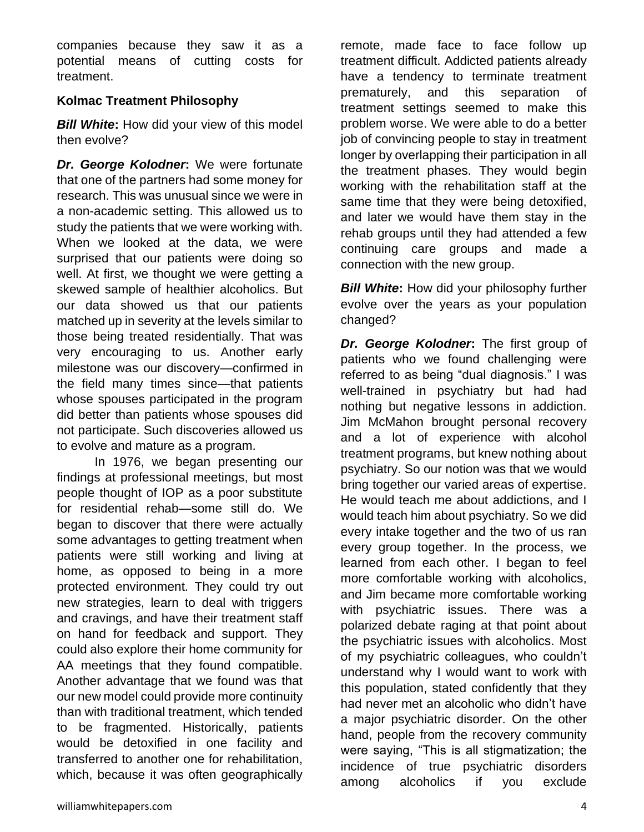companies because they saw it as a potential means of cutting costs for treatment.

## **Kolmac Treatment Philosophy**

*Bill White***:** How did your view of this model then evolve?

*Dr. George Kolodner***:** We were fortunate that one of the partners had some money for research. This was unusual since we were in a non-academic setting. This allowed us to study the patients that we were working with. When we looked at the data, we were surprised that our patients were doing so well. At first, we thought we were getting a skewed sample of healthier alcoholics. But our data showed us that our patients matched up in severity at the levels similar to those being treated residentially. That was very encouraging to us. Another early milestone was our discovery—confirmed in the field many times since—that patients whose spouses participated in the program did better than patients whose spouses did not participate. Such discoveries allowed us to evolve and mature as a program.

In 1976, we began presenting our findings at professional meetings, but most people thought of IOP as a poor substitute for residential rehab—some still do. We began to discover that there were actually some advantages to getting treatment when patients were still working and living at home, as opposed to being in a more protected environment. They could try out new strategies, learn to deal with triggers and cravings, and have their treatment staff on hand for feedback and support. They could also explore their home community for AA meetings that they found compatible. Another advantage that we found was that our new model could provide more continuity than with traditional treatment, which tended to be fragmented. Historically, patients would be detoxified in one facility and transferred to another one for rehabilitation, which, because it was often geographically

remote, made face to face follow up treatment difficult. Addicted patients already have a tendency to terminate treatment prematurely, and this separation of treatment settings seemed to make this problem worse. We were able to do a better job of convincing people to stay in treatment longer by overlapping their participation in all the treatment phases. They would begin working with the rehabilitation staff at the same time that they were being detoxified, and later we would have them stay in the rehab groups until they had attended a few continuing care groups and made a connection with the new group.

*Bill White***:** How did your philosophy further evolve over the years as your population changed?

*Dr. George Kolodner***:** The first group of patients who we found challenging were referred to as being "dual diagnosis." I was well-trained in psychiatry but had had nothing but negative lessons in addiction. Jim McMahon brought personal recovery and a lot of experience with alcohol treatment programs, but knew nothing about psychiatry. So our notion was that we would bring together our varied areas of expertise. He would teach me about addictions, and I would teach him about psychiatry. So we did every intake together and the two of us ran every group together. In the process, we learned from each other. I began to feel more comfortable working with alcoholics, and Jim became more comfortable working with psychiatric issues. There was a polarized debate raging at that point about the psychiatric issues with alcoholics. Most of my psychiatric colleagues, who couldn't understand why I would want to work with this population, stated confidently that they had never met an alcoholic who didn't have a major psychiatric disorder. On the other hand, people from the recovery community were saying, "This is all stigmatization; the incidence of true psychiatric disorders among alcoholics if you exclude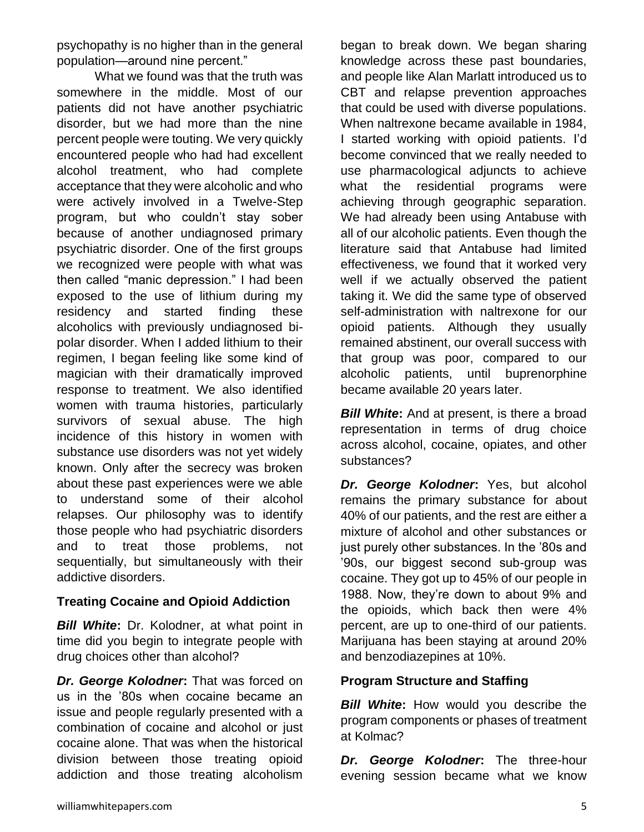psychopathy is no higher than in the general population—around nine percent."

What we found was that the truth was somewhere in the middle. Most of our patients did not have another psychiatric disorder, but we had more than the nine percent people were touting. We very quickly encountered people who had had excellent alcohol treatment, who had complete acceptance that they were alcoholic and who were actively involved in a Twelve-Step program, but who couldn't stay sober because of another undiagnosed primary psychiatric disorder. One of the first groups we recognized were people with what was then called "manic depression." I had been exposed to the use of lithium during my residency and started finding these alcoholics with previously undiagnosed bipolar disorder. When I added lithium to their regimen, I began feeling like some kind of magician with their dramatically improved response to treatment. We also identified women with trauma histories, particularly survivors of sexual abuse. The high incidence of this history in women with substance use disorders was not yet widely known. Only after the secrecy was broken about these past experiences were we able to understand some of their alcohol relapses. Our philosophy was to identify those people who had psychiatric disorders and to treat those problems, not sequentially, but simultaneously with their addictive disorders.

#### **Treating Cocaine and Opioid Addiction**

*Bill White***:** Dr. Kolodner, at what point in time did you begin to integrate people with drug choices other than alcohol?

*Dr. George Kolodner***:** That was forced on us in the '80s when cocaine became an issue and people regularly presented with a combination of cocaine and alcohol or just cocaine alone. That was when the historical division between those treating opioid addiction and those treating alcoholism began to break down. We began sharing knowledge across these past boundaries, and people like Alan Marlatt introduced us to CBT and relapse prevention approaches that could be used with diverse populations. When naltrexone became available in 1984, I started working with opioid patients. I'd become convinced that we really needed to use pharmacological adjuncts to achieve what the residential programs were achieving through geographic separation. We had already been using Antabuse with all of our alcoholic patients. Even though the literature said that Antabuse had limited effectiveness, we found that it worked very well if we actually observed the patient taking it. We did the same type of observed self-administration with naltrexone for our opioid patients. Although they usually remained abstinent, our overall success with that group was poor, compared to our alcoholic patients, until buprenorphine became available 20 years later.

**Bill White:** And at present, is there a broad representation in terms of drug choice across alcohol, cocaine, opiates, and other substances?

*Dr. George Kolodner***:** Yes, but alcohol remains the primary substance for about 40% of our patients, and the rest are either a mixture of alcohol and other substances or just purely other substances. In the '80s and '90s, our biggest second sub-group was cocaine. They got up to 45% of our people in 1988. Now, they're down to about 9% and the opioids, which back then were 4% percent, are up to one-third of our patients. Marijuana has been staying at around 20% and benzodiazepines at 10%.

## **Program Structure and Staffing**

*Bill White***:** How would you describe the program components or phases of treatment at Kolmac?

*Dr. George Kolodner***:** The three-hour evening session became what we know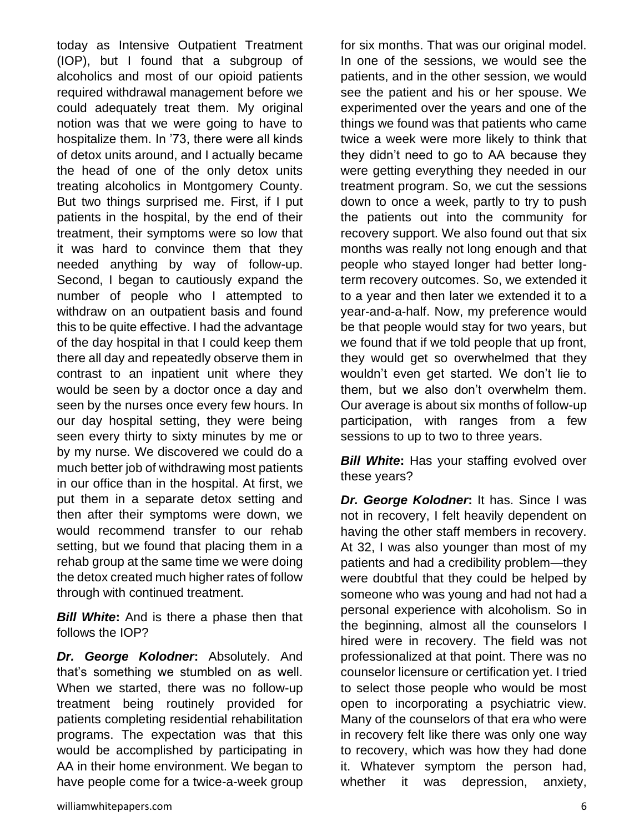today as Intensive Outpatient Treatment (IOP), but I found that a subgroup of alcoholics and most of our opioid patients required withdrawal management before we could adequately treat them. My original notion was that we were going to have to hospitalize them. In '73, there were all kinds of detox units around, and I actually became the head of one of the only detox units treating alcoholics in Montgomery County. But two things surprised me. First, if I put patients in the hospital, by the end of their treatment, their symptoms were so low that it was hard to convince them that they needed anything by way of follow-up. Second, I began to cautiously expand the number of people who I attempted to withdraw on an outpatient basis and found this to be quite effective. I had the advantage of the day hospital in that I could keep them there all day and repeatedly observe them in contrast to an inpatient unit where they would be seen by a doctor once a day and seen by the nurses once every few hours. In our day hospital setting, they were being seen every thirty to sixty minutes by me or by my nurse. We discovered we could do a much better job of withdrawing most patients in our office than in the hospital. At first, we put them in a separate detox setting and then after their symptoms were down, we would recommend transfer to our rehab setting, but we found that placing them in a rehab group at the same time we were doing the detox created much higher rates of follow through with continued treatment.

*Bill White***:** And is there a phase then that follows the IOP?

*Dr. George Kolodner***:** Absolutely. And that's something we stumbled on as well. When we started, there was no follow-up treatment being routinely provided for patients completing residential rehabilitation programs. The expectation was that this would be accomplished by participating in AA in their home environment. We began to have people come for a twice-a-week group

for six months. That was our original model. In one of the sessions, we would see the patients, and in the other session, we would see the patient and his or her spouse. We experimented over the years and one of the things we found was that patients who came twice a week were more likely to think that they didn't need to go to AA because they were getting everything they needed in our treatment program. So, we cut the sessions down to once a week, partly to try to push the patients out into the community for recovery support. We also found out that six months was really not long enough and that people who stayed longer had better longterm recovery outcomes. So, we extended it to a year and then later we extended it to a year-and-a-half. Now, my preference would be that people would stay for two years, but we found that if we told people that up front, they would get so overwhelmed that they wouldn't even get started. We don't lie to them, but we also don't overwhelm them. Our average is about six months of follow-up participation, with ranges from a few sessions to up to two to three years.

**Bill White:** Has your staffing evolved over these years?

*Dr. George Kolodner***:** It has. Since I was not in recovery, I felt heavily dependent on having the other staff members in recovery. At 32, I was also younger than most of my patients and had a credibility problem—they were doubtful that they could be helped by someone who was young and had not had a personal experience with alcoholism. So in the beginning, almost all the counselors I hired were in recovery. The field was not professionalized at that point. There was no counselor licensure or certification yet. I tried to select those people who would be most open to incorporating a psychiatric view. Many of the counselors of that era who were in recovery felt like there was only one way to recovery, which was how they had done it. Whatever symptom the person had, whether it was depression, anxiety,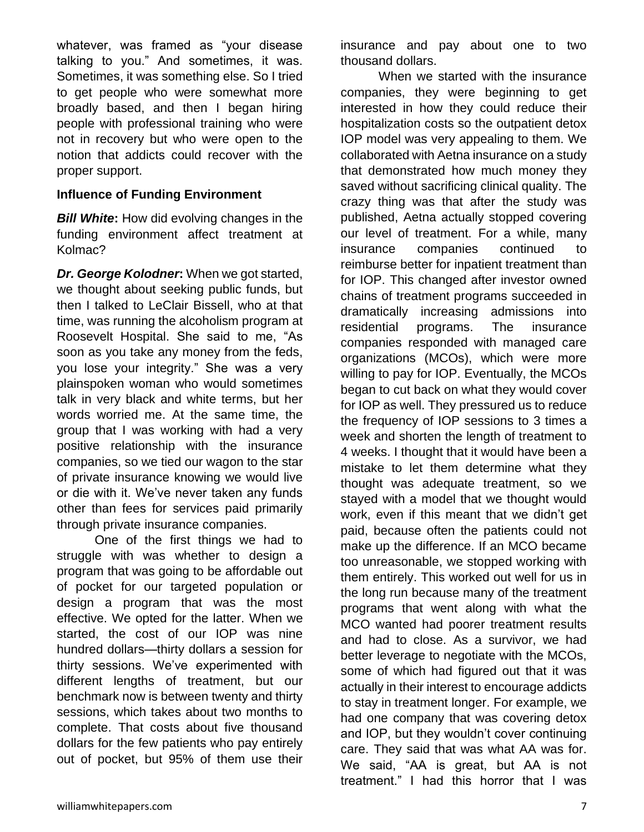whatever, was framed as "your disease talking to you." And sometimes, it was. Sometimes, it was something else. So I tried to get people who were somewhat more broadly based, and then I began hiring people with professional training who were not in recovery but who were open to the notion that addicts could recover with the proper support.

#### **Influence of Funding Environment**

*Bill White***:** How did evolving changes in the funding environment affect treatment at Kolmac?

*Dr. George Kolodner***:** When we got started, we thought about seeking public funds, but then I talked to LeClair Bissell, who at that time, was running the alcoholism program at Roosevelt Hospital. She said to me, "As soon as you take any money from the feds, you lose your integrity." She was a very plainspoken woman who would sometimes talk in very black and white terms, but her words worried me. At the same time, the group that I was working with had a very positive relationship with the insurance companies, so we tied our wagon to the star of private insurance knowing we would live or die with it. We've never taken any funds other than fees for services paid primarily through private insurance companies.

One of the first things we had to struggle with was whether to design a program that was going to be affordable out of pocket for our targeted population or design a program that was the most effective. We opted for the latter. When we started, the cost of our IOP was nine hundred dollars—thirty dollars a session for thirty sessions. We've experimented with different lengths of treatment, but our benchmark now is between twenty and thirty sessions, which takes about two months to complete. That costs about five thousand dollars for the few patients who pay entirely out of pocket, but 95% of them use their

insurance and pay about one to two thousand dollars.

When we started with the insurance companies, they were beginning to get interested in how they could reduce their hospitalization costs so the outpatient detox IOP model was very appealing to them. We collaborated with Aetna insurance on a study that demonstrated how much money they saved without sacrificing clinical quality. The crazy thing was that after the study was published, Aetna actually stopped covering our level of treatment. For a while, many insurance companies continued to reimburse better for inpatient treatment than for IOP. This changed after investor owned chains of treatment programs succeeded in dramatically increasing admissions into residential programs. The insurance companies responded with managed care organizations (MCOs), which were more willing to pay for IOP. Eventually, the MCOs began to cut back on what they would cover for IOP as well. They pressured us to reduce the frequency of IOP sessions to 3 times a week and shorten the length of treatment to 4 weeks. I thought that it would have been a mistake to let them determine what they thought was adequate treatment, so we stayed with a model that we thought would work, even if this meant that we didn't get paid, because often the patients could not make up the difference. If an MCO became too unreasonable, we stopped working with them entirely. This worked out well for us in the long run because many of the treatment programs that went along with what the MCO wanted had poorer treatment results and had to close. As a survivor, we had better leverage to negotiate with the MCOs, some of which had figured out that it was actually in their interest to encourage addicts to stay in treatment longer. For example, we had one company that was covering detox and IOP, but they wouldn't cover continuing care. They said that was what AA was for. We said, "AA is great, but AA is not treatment." I had this horror that I was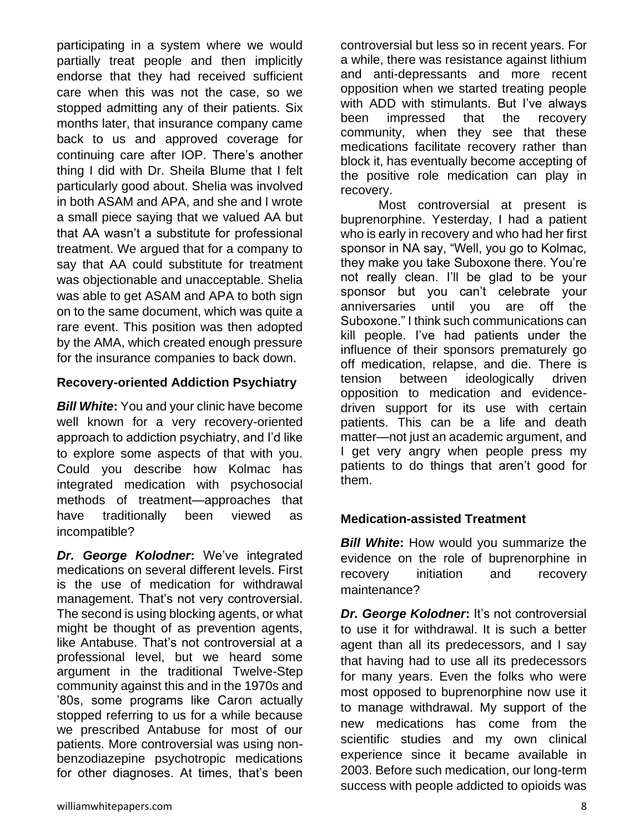participating in a system where we would partially treat people and then implicitly endorse that they had received sufficient care when this was not the case, so we stopped admitting any of their patients. Six months later, that insurance company came back to us and approved coverage for continuing care after IOP. There's another thing I did with Dr. Sheila Blume that I felt particularly good about. Shelia was involved in both ASAM and APA, and she and I wrote a small piece saying that we valued AA but that AA wasn't a substitute for professional treatment. We argued that for a company to say that AA could substitute for treatment was objectionable and unacceptable. Shelia was able to get ASAM and APA to both sign on to the same document, which was quite a rare event. This position was then adopted by the AMA, which created enough pressure for the insurance companies to back down.

#### **Recovery-oriented Addiction Psychiatry**

*Bill White***:** You and your clinic have become well known for a very recovery-oriented approach to addiction psychiatry, and I'd like to explore some aspects of that with you. Could you describe how Kolmac has integrated medication with psychosocial methods of treatment—approaches that have traditionally been viewed as incompatible?

*Dr. George Kolodner***:** We've integrated medications on several different levels. First is the use of medication for withdrawal management. That's not very controversial. The second is using blocking agents, or what might be thought of as prevention agents, like Antabuse. That's not controversial at a professional level, but we heard some argument in the traditional Twelve-Step community against this and in the 1970s and '80s, some programs like Caron actually stopped referring to us for a while because we prescribed Antabuse for most of our patients. More controversial was using nonbenzodiazepine psychotropic medications for other diagnoses. At times, that's been

controversial but less so in recent years. For a while, there was resistance against lithium and anti-depressants and more recent opposition when we started treating people with ADD with stimulants. But I've always been impressed that the recovery community, when they see that these medications facilitate recovery rather than block it, has eventually become accepting of the positive role medication can play in recovery.

Most controversial at present is buprenorphine. Yesterday, I had a patient who is early in recovery and who had her first sponsor in NA say, "Well, you go to Kolmac, they make you take Suboxone there. You're not really clean. I'll be glad to be your sponsor but you can't celebrate your anniversaries until you are off the Suboxone." I think such communications can kill people. I've had patients under the influence of their sponsors prematurely go off medication, relapse, and die. There is tension between ideologically driven opposition to medication and evidencedriven support for its use with certain patients. This can be a life and death matter—not just an academic argument, and I get very angry when people press my patients to do things that aren't good for them.

#### **Medication-assisted Treatment**

**Bill White:** How would you summarize the evidence on the role of buprenorphine in recovery initiation and recovery maintenance?

*Dr. George Kolodner***:** It's not controversial to use it for withdrawal. It is such a better agent than all its predecessors, and I say that having had to use all its predecessors for many years. Even the folks who were most opposed to buprenorphine now use it to manage withdrawal. My support of the new medications has come from the scientific studies and my own clinical experience since it became available in 2003. Before such medication, our long-term success with people addicted to opioids was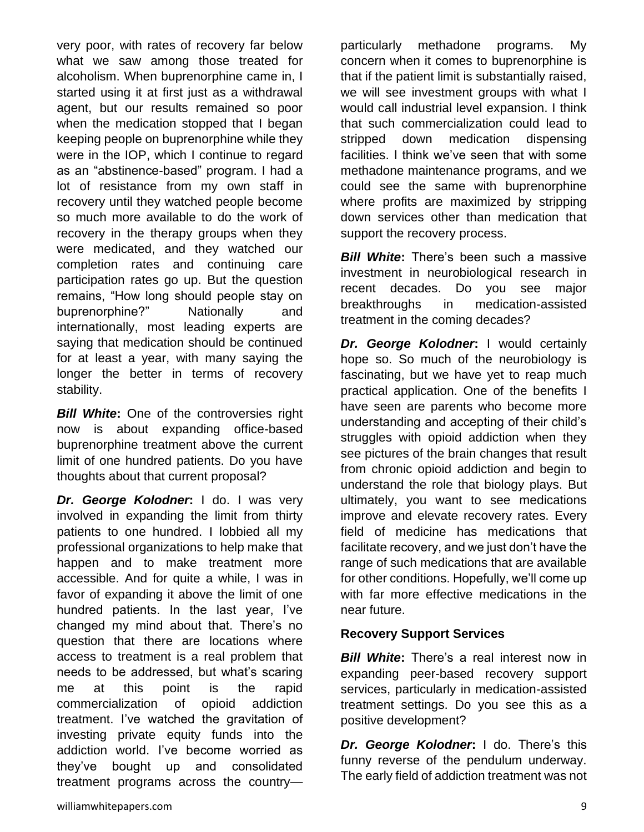very poor, with rates of recovery far below what we saw among those treated for alcoholism. When buprenorphine came in, I started using it at first just as a withdrawal agent, but our results remained so poor when the medication stopped that I began keeping people on buprenorphine while they were in the IOP, which I continue to regard as an "abstinence-based" program. I had a lot of resistance from my own staff in recovery until they watched people become so much more available to do the work of recovery in the therapy groups when they were medicated, and they watched our completion rates and continuing care participation rates go up. But the question remains, "How long should people stay on buprenorphine?" Nationally and internationally, most leading experts are saying that medication should be continued for at least a year, with many saying the longer the better in terms of recovery stability.

*Bill White***:** One of the controversies right now is about expanding office-based buprenorphine treatment above the current limit of one hundred patients. Do you have thoughts about that current proposal?

*Dr. George Kolodner***:** I do. I was very involved in expanding the limit from thirty patients to one hundred. I lobbied all my professional organizations to help make that happen and to make treatment more accessible. And for quite a while, I was in favor of expanding it above the limit of one hundred patients. In the last year, I've changed my mind about that. There's no question that there are locations where access to treatment is a real problem that needs to be addressed, but what's scaring me at this point is the rapid commercialization of opioid addiction treatment. I've watched the gravitation of investing private equity funds into the addiction world. I've become worried as they've bought up and consolidated treatment programs across the countryparticularly methadone programs. My concern when it comes to buprenorphine is that if the patient limit is substantially raised, we will see investment groups with what I would call industrial level expansion. I think that such commercialization could lead to stripped down medication dispensing facilities. I think we've seen that with some methadone maintenance programs, and we could see the same with buprenorphine where profits are maximized by stripping down services other than medication that support the recovery process.

*Bill White***:** There's been such a massive investment in neurobiological research in recent decades. Do you see major breakthroughs in medication-assisted treatment in the coming decades?

*Dr. George Kolodner***:** I would certainly hope so. So much of the neurobiology is fascinating, but we have yet to reap much practical application. One of the benefits I have seen are parents who become more understanding and accepting of their child's struggles with opioid addiction when they see pictures of the brain changes that result from chronic opioid addiction and begin to understand the role that biology plays. But ultimately, you want to see medications improve and elevate recovery rates. Every field of medicine has medications that facilitate recovery, and we just don't have the range of such medications that are available for other conditions. Hopefully, we'll come up with far more effective medications in the near future.

#### **Recovery Support Services**

*Bill White***:** There's a real interest now in expanding peer-based recovery support services, particularly in medication-assisted treatment settings. Do you see this as a positive development?

*Dr. George Kolodner***:** I do. There's this funny reverse of the pendulum underway. The early field of addiction treatment was not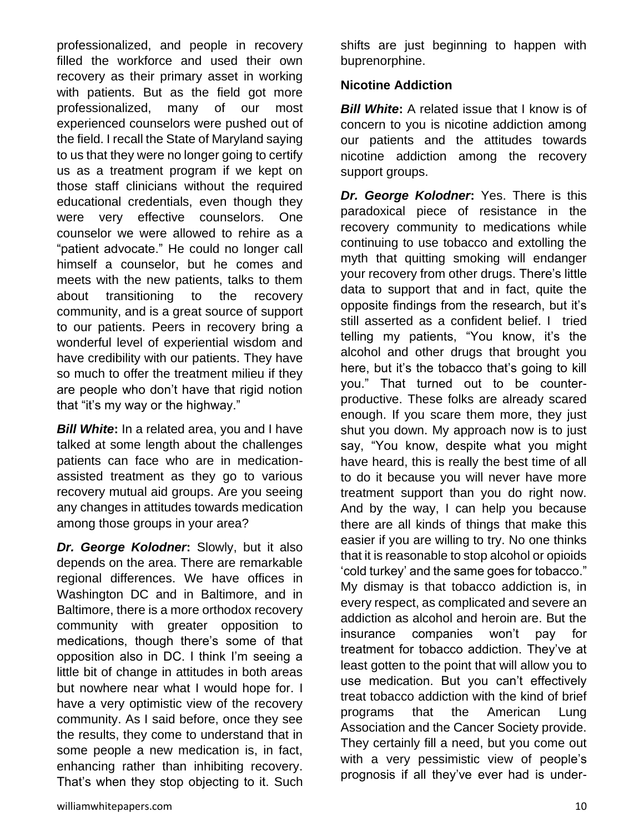professionalized, and people in recovery filled the workforce and used their own recovery as their primary asset in working with patients. But as the field got more professionalized, many of our most experienced counselors were pushed out of the field. I recall the State of Maryland saying to us that they were no longer going to certify us as a treatment program if we kept on those staff clinicians without the required educational credentials, even though they were very effective counselors. One counselor we were allowed to rehire as a "patient advocate." He could no longer call himself a counselor, but he comes and meets with the new patients, talks to them about transitioning to the recovery community, and is a great source of support to our patients. Peers in recovery bring a wonderful level of experiential wisdom and have credibility with our patients. They have so much to offer the treatment milieu if they are people who don't have that rigid notion that "it's my way or the highway."

*Bill White***:** In a related area, you and I have talked at some length about the challenges patients can face who are in medicationassisted treatment as they go to various recovery mutual aid groups. Are you seeing any changes in attitudes towards medication among those groups in your area?

*Dr. George Kolodner***:** Slowly, but it also depends on the area. There are remarkable regional differences. We have offices in Washington DC and in Baltimore, and in Baltimore, there is a more orthodox recovery community with greater opposition to medications, though there's some of that opposition also in DC. I think I'm seeing a little bit of change in attitudes in both areas but nowhere near what I would hope for. I have a very optimistic view of the recovery community. As I said before, once they see the results, they come to understand that in some people a new medication is, in fact, enhancing rather than inhibiting recovery. That's when they stop objecting to it. Such shifts are just beginning to happen with buprenorphine.

### **Nicotine Addiction**

**Bill White:** A related issue that I know is of concern to you is nicotine addiction among our patients and the attitudes towards nicotine addiction among the recovery support groups.

*Dr. George Kolodner***:** Yes. There is this paradoxical piece of resistance in the recovery community to medications while continuing to use tobacco and extolling the myth that quitting smoking will endanger your recovery from other drugs. There's little data to support that and in fact, quite the opposite findings from the research, but it's still asserted as a confident belief. I tried telling my patients, "You know, it's the alcohol and other drugs that brought you here, but it's the tobacco that's going to kill you." That turned out to be counterproductive. These folks are already scared enough. If you scare them more, they just shut you down. My approach now is to just say, "You know, despite what you might have heard, this is really the best time of all to do it because you will never have more treatment support than you do right now. And by the way, I can help you because there are all kinds of things that make this easier if you are willing to try. No one thinks that it is reasonable to stop alcohol or opioids 'cold turkey' and the same goes for tobacco." My dismay is that tobacco addiction is, in every respect, as complicated and severe an addiction as alcohol and heroin are. But the insurance companies won't pay for treatment for tobacco addiction. They've at least gotten to the point that will allow you to use medication. But you can't effectively treat tobacco addiction with the kind of brief programs that the American Lung Association and the Cancer Society provide. They certainly fill a need, but you come out with a very pessimistic view of people's prognosis if all they've ever had is under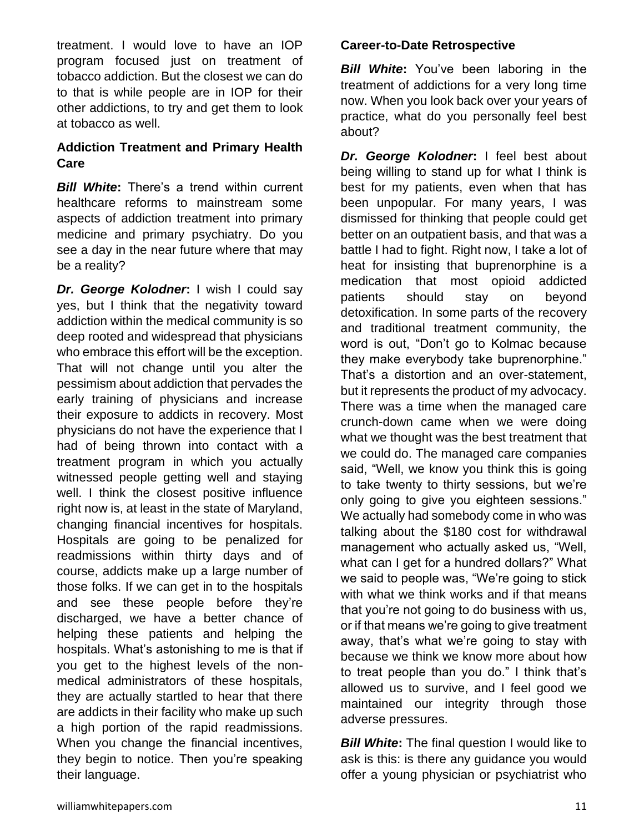treatment. I would love to have an IOP program focused just on treatment of tobacco addiction. But the closest we can do to that is while people are in IOP for their other addictions, to try and get them to look at tobacco as well.

## **Addiction Treatment and Primary Health Care**

*Bill White***:** There's a trend within current healthcare reforms to mainstream some aspects of addiction treatment into primary medicine and primary psychiatry. Do you see a day in the near future where that may be a reality?

*Dr. George Kolodner***:** I wish I could say yes, but I think that the negativity toward addiction within the medical community is so deep rooted and widespread that physicians who embrace this effort will be the exception. That will not change until you alter the pessimism about addiction that pervades the early training of physicians and increase their exposure to addicts in recovery. Most physicians do not have the experience that I had of being thrown into contact with a treatment program in which you actually witnessed people getting well and staying well. I think the closest positive influence right now is, at least in the state of Maryland, changing financial incentives for hospitals. Hospitals are going to be penalized for readmissions within thirty days and of course, addicts make up a large number of those folks. If we can get in to the hospitals and see these people before they're discharged, we have a better chance of helping these patients and helping the hospitals. What's astonishing to me is that if you get to the highest levels of the nonmedical administrators of these hospitals, they are actually startled to hear that there are addicts in their facility who make up such a high portion of the rapid readmissions. When you change the financial incentives, they begin to notice. Then you're speaking their language.

## **Career-to-Date Retrospective**

**Bill White:** You've been laboring in the treatment of addictions for a very long time now. When you look back over your years of practice, what do you personally feel best about?

*Dr. George Kolodner***:** I feel best about being willing to stand up for what I think is best for my patients, even when that has been unpopular. For many years, I was dismissed for thinking that people could get better on an outpatient basis, and that was a battle I had to fight. Right now, I take a lot of heat for insisting that buprenorphine is a medication that most opioid addicted patients should stay on beyond detoxification. In some parts of the recovery and traditional treatment community, the word is out, "Don't go to Kolmac because they make everybody take buprenorphine." That's a distortion and an over-statement, but it represents the product of my advocacy. There was a time when the managed care crunch-down came when we were doing what we thought was the best treatment that we could do. The managed care companies said, "Well, we know you think this is going to take twenty to thirty sessions, but we're only going to give you eighteen sessions." We actually had somebody come in who was talking about the \$180 cost for withdrawal management who actually asked us, "Well, what can I get for a hundred dollars?" What we said to people was, "We're going to stick with what we think works and if that means that you're not going to do business with us, or if that means we're going to give treatment away, that's what we're going to stay with because we think we know more about how to treat people than you do." I think that's allowed us to survive, and I feel good we maintained our integrity through those adverse pressures.

*Bill White:* The final question I would like to ask is this: is there any guidance you would offer a young physician or psychiatrist who